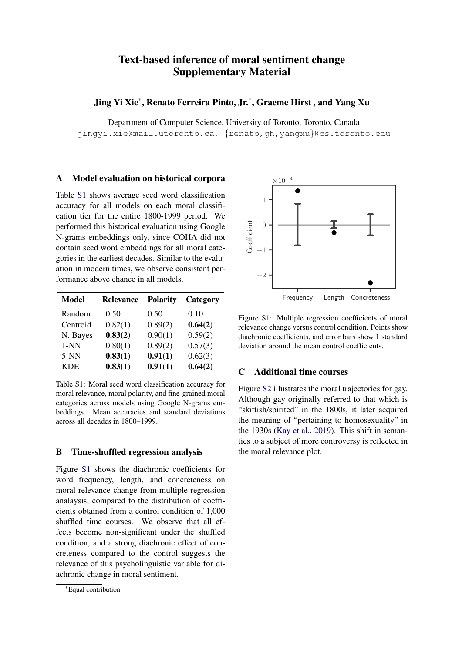# Text-based inference of moral sentiment change Supplementary Material

Jing Yi Xie\* , Renato Ferreira Pinto, Jr.\* , Graeme Hirst , and Yang Xu

Department of Computer Science, University of Toronto, Toronto, Canada jingyi.xie@mail.utoronto.ca, {renato,gh,yangxu}@cs.toronto.edu

### A Model evaluation on historical corpora

Table [S1](#page-0-0) shows average seed word classification accuracy for all models on each moral classification tier for the entire 1800-1999 period. We performed this historical evaluation using Google N-grams embeddings only, since COHA did not contain seed word embeddings for all moral categories in the earliest decades. Similar to the evaluation in modern times, we observe consistent performance above chance in all models.

<span id="page-0-0"></span>

| <b>Model</b> | Relevance | <b>Polarity</b> | Category |
|--------------|-----------|-----------------|----------|
| Random       | 0.50      | 0.50            | 0.10     |
| Centroid     | 0.82(1)   | 0.89(2)         | 0.64(2)  |
| N. Bayes     | 0.83(2)   | 0.90(1)         | 0.59(2)  |
| $1-NN$       | 0.80(1)   | 0.89(2)         | 0.57(3)  |
| $5-NN$       | 0.83(1)   | 0.91(1)         | 0.62(3)  |
| <b>KDE</b>   | 0.83(1)   | 0.91(1)         | 0.64(2)  |

Table S1: Moral seed word classification accuracy for moral relevance, moral polarity, and fine-grained moral categories across models using Google N-grams embeddings. Mean accuracies and standard deviations across all decades in 1800–1999.

### B Time-shuffled regression analysis

Figure [S1](#page-0-1) shows the diachronic coefficients for word frequency, length, and concreteness on moral relevance change from multiple regression analaysis, compared to the distribution of coefficients obtained from a control condition of 1,000 shuffled time courses. We observe that all effects become non-significant under the shuffled condition, and a strong diachronic effect of concreteness compared to the control suggests the relevance of this psycholinguistic variable for diachronic change in moral sentiment.

<span id="page-0-1"></span>

Figure S1: Multiple regression coefficients of moral relevance change versus control condition. Points show diachronic coefficients, and error bars show 1 standard deviation around the mean control coefficients.

## C Additional time courses

Figure [S2](#page-1-0) illustrates the moral trajectories for gay. Although gay originally referred to that which is "skittish/spirited" in the 1800s, it later acquired the meaning of "pertaining to homosexuality" in the 1930s [\(Kay et al.,](#page-1-1) [2019\)](#page-1-1). This shift in semantics to a subject of more controversy is reflected in the moral relevance plot.

<sup>∗</sup>Equal contribution.